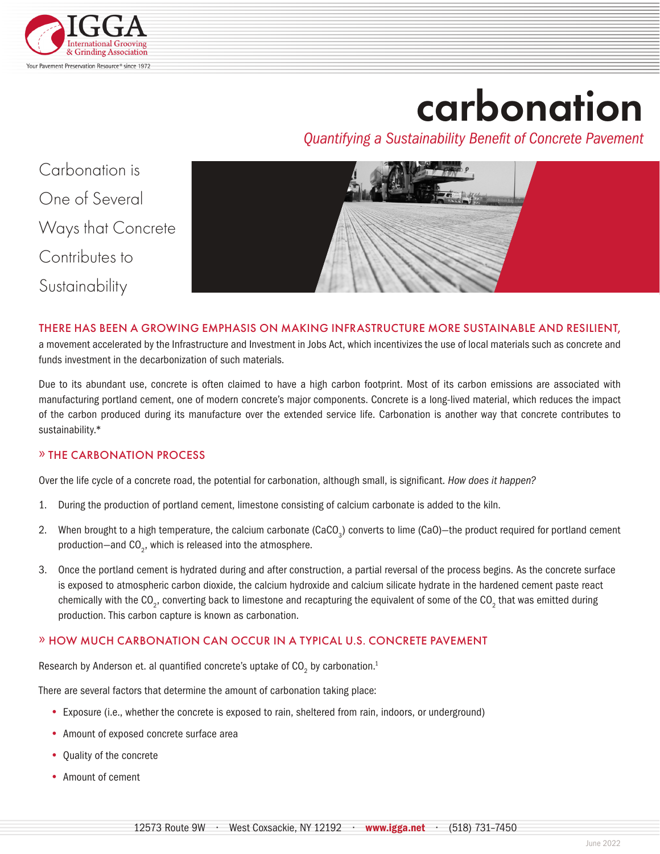

# carbonation

*Quantifying a Sustainability Benefit of Concrete Pavement*

Carbonation is One of Several Ways that Concrete Contributes to Sustainability



### THERE HAS BEEN A GROWING EMPHASIS ON MAKING INFRASTRUCTURE MORE SUSTAINABLE AND RESILIENT,

a movement accelerated by the Infrastructure and Investment in Jobs Act, which incentivizes the use of local materials such as concrete and funds investment in the decarbonization of such materials.

Due to its abundant use, concrete is often claimed to have a high carbon footprint. Most of its carbon emissions are associated with manufacturing portland cement, one of modern concrete's major components. Concrete is a long-lived material, which reduces the impact of the carbon produced during its manufacture over the extended service life. Carbonation is another way that concrete contributes to sustainability.\*

### » THE CARBONATION PROCESS

Over the life cycle of a concrete road, the potential for carbonation, although small, is significant. *How does it happen?* 

- 1. During the production of portland cement, limestone consisting of calcium carbonate is added to the kiln.
- 2. When brought to a high temperature, the calcium carbonate (CaCO<sub>3</sub>) converts to lime (CaO)–the product required for portland cement production-and  $\text{CO}_2$ , which is released into the atmosphere.
- 3. Once the portland cement is hydrated during and after construction, a partial reversal of the process begins. As the concrete surface is exposed to atmospheric carbon dioxide, the calcium hydroxide and calcium silicate hydrate in the hardened cement paste react chemically with the CO<sub>2</sub>, converting back to limestone and recapturing the equivalent of some of the CO<sub>2</sub> that was emitted during production. This carbon capture is known as carbonation.

### » HOW MUCH CARBONATION CAN OCCUR IN A TYPICAL U.S. CONCRETE PAVEMENT

Research by Anderson et. al quantified concrete's uptake of CO<sub>2</sub> by carbonation.<sup>1</sup>

There are several factors that determine the amount of carbonation taking place:

- **•** Exposure (i.e., whether the concrete is exposed to rain, sheltered from rain, indoors, or underground)
- **•** Amount of exposed concrete surface area
- **•** Quality of the concrete
- **•** Amount of cement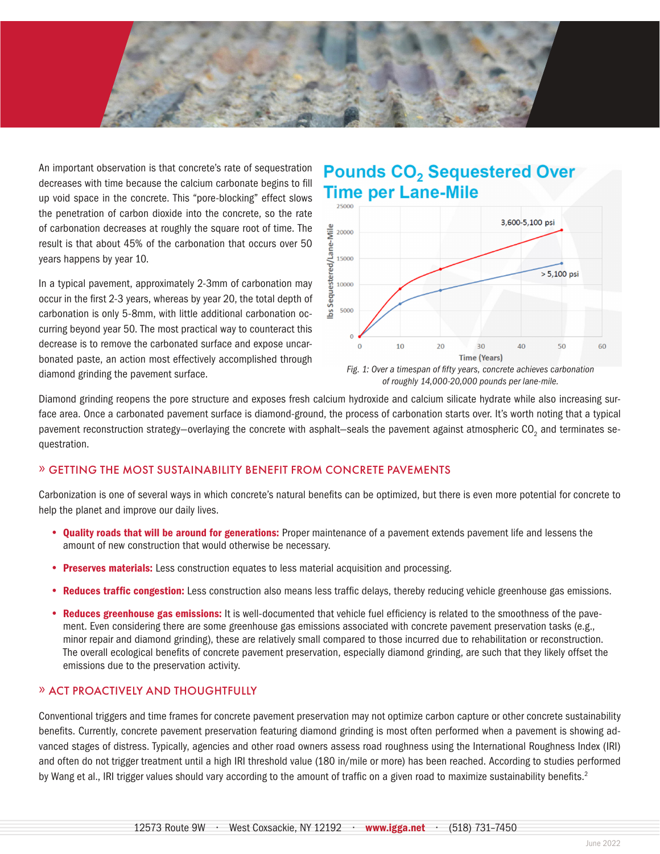

An important observation is that concrete's rate of sequestration decreases with time because the calcium carbonate begins to fill up void space in the concrete. This "pore-blocking" effect slows the penetration of carbon dioxide into the concrete, so the rate of carbonation decreases at roughly the square root of time. The result is that about 45% of the carbonation that occurs over 50 years happens by year 10.

In a typical pavement, approximately 2-3mm of carbonation may occur in the first 2-3 years, whereas by year 20, the total depth of carbonation is only 5-8mm, with little additional carbonation occurring beyond year 50. The most practical way to counteract this decrease is to remove the carbonated surface and expose uncarbonated paste, an action most effectively accomplished through diamond grinding the pavement surface.

## **Pounds CO<sub>2</sub> Sequestered Over Time per Lane-Mile**





Diamond grinding reopens the pore structure and exposes fresh calcium hydroxide and calcium silicate hydrate while also increasing surface area. Once a carbonated pavement surface is diamond-ground, the process of carbonation starts over. It's worth noting that a typical pavement reconstruction strategy–overlaying the concrete with asphalt–seals the pavement against atmospheric CO<sub>2</sub> and terminates sequestration.

### » GETTING THE MOST SUSTAINABILITY BENEFIT FROM CONCRETE PAVEMENTS

Carbonization is one of several ways in which concrete's natural benefits can be optimized, but there is even more potential for concrete to help the planet and improve our daily lives.

- **•** Quality roads that will be around for generations: Proper maintenance of a pavement extends pavement life and lessens the amount of new construction that would otherwise be necessary.
- **Preserves materials:** Less construction equates to less material acquisition and processing.
- **•** Reduces traffic congestion: Less construction also means less traffic delays, thereby reducing vehicle greenhouse gas emissions.
- **•** Reduces greenhouse gas emissions: It is well-documented that vehicle fuel efficiency is related to the smoothness of the pavement. Even considering there are some greenhouse gas emissions associated with concrete pavement preservation tasks (e.g., minor repair and diamond grinding), these are relatively small compared to those incurred due to rehabilitation or reconstruction. The overall ecological benefits of concrete pavement preservation, especially diamond grinding, are such that they likely offset the emissions due to the preservation activity.

### » ACT PROACTIVELY AND THOUGHTFULLY

Conventional triggers and time frames for concrete pavement preservation may not optimize carbon capture or other concrete sustainability benefits. Currently, concrete pavement preservation featuring diamond grinding is most often performed when a pavement is showing advanced stages of distress. Typically, agencies and other road owners assess road roughness using the International Roughness Index (IRI) and often do not trigger treatment until a high IRI threshold value (180 in/mile or more) has been reached. According to studies performed by Wang et al., IRI trigger values should vary according to the amount of traffic on a given road to maximize sustainability benefits.<sup>2</sup>